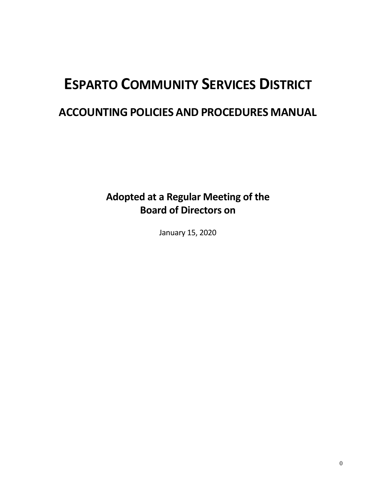# **ESPARTO COMMUNITY SERVICES DISTRICT**

## **ACCOUNTING POLICIES AND PROCEDURES MANUAL**

**Adopted at a Regular Meeting of the Board of Directors on** 

January 15, 2020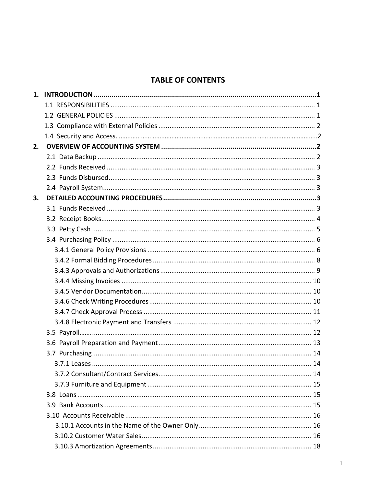## **TABLE OF CONTENTS**

| 2. |  |
|----|--|
|    |  |
|    |  |
|    |  |
|    |  |
| 3. |  |
|    |  |
|    |  |
|    |  |
|    |  |
|    |  |
|    |  |
|    |  |
|    |  |
|    |  |
|    |  |
|    |  |
|    |  |
|    |  |
|    |  |
|    |  |
|    |  |
|    |  |
|    |  |
|    |  |
|    |  |
|    |  |
|    |  |
|    |  |
|    |  |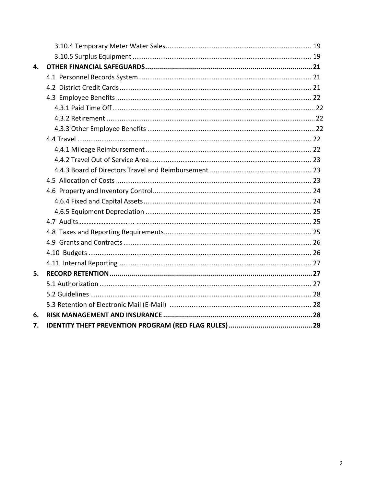| 4. |  |
|----|--|
|    |  |
|    |  |
|    |  |
|    |  |
|    |  |
|    |  |
|    |  |
|    |  |
|    |  |
|    |  |
|    |  |
|    |  |
|    |  |
|    |  |
|    |  |
|    |  |
|    |  |
|    |  |
|    |  |
| 5. |  |
|    |  |
|    |  |
|    |  |
| 6. |  |
| 7. |  |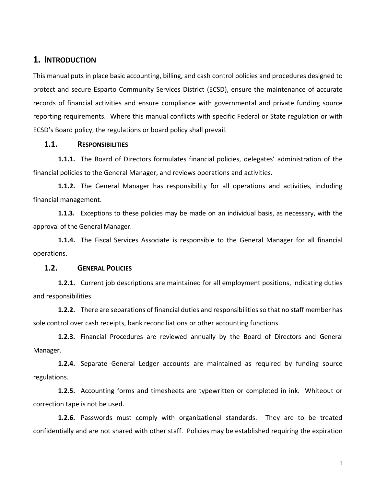#### **1. INTRODUCTION**

This manual puts in place basic accounting, billing, and cash control policies and procedures designed to protect and secure Esparto Community Services District (ECSD), ensure the maintenance of accurate records of financial activities and ensure compliance with governmental and private funding source reporting requirements. Where this manual conflicts with specific Federal or State regulation or with ECSD's Board policy, the regulations or board policy shall prevail.

#### **1.1. RESPONSIBILITIES**

**1.1.1.** The Board of Directors formulates financial policies, delegates' administration of the financial policies to the General Manager, and reviews operations and activities.

**1.1.2.** The General Manager has responsibility for all operations and activities, including financial management.

**1.1.3.** Exceptions to these policies may be made on an individual basis, as necessary, with the approval of the General Manager.

**1.1.4.** The Fiscal Services Associate is responsible to the General Manager for all financial operations.

#### **1.2. GENERAL POLICIES**

**1.2.1.** Current job descriptions are maintained for all employment positions, indicating duties and responsibilities.

**1.2.2.** There are separations of financial duties and responsibilities so that no staff member has sole control over cash receipts, bank reconciliations or other accounting functions.

**1.2.3.** Financial Procedures are reviewed annually by the Board of Directors and General Manager.

**1.2.4.** Separate General Ledger accounts are maintained as required by funding source regulations.

**1.2.5.** Accounting forms and timesheets are typewritten or completed in ink. Whiteout or correction tape is not be used.

**1.2.6.** Passwords must comply with organizational standards. They are to be treated confidentially and are not shared with other staff. Policies may be established requiring the expiration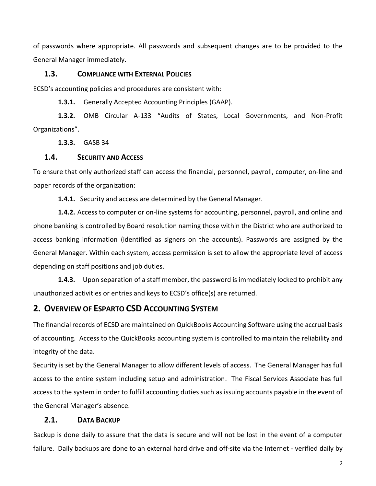of passwords where appropriate. All passwords and subsequent changes are to be provided to the General Manager immediately.

#### **1.3. COMPLIANCE WITH EXTERNAL POLICIES**

ECSD's accounting policies and procedures are consistent with:

**1.3.1.** Generally Accepted Accounting Principles (GAAP).

**1.3.2.** OMB Circular A-133 "Audits of States, Local Governments, and Non-Profit Organizations".

**1.3.3.** GASB 34

#### **1.4. SECURITY AND ACCESS**

To ensure that only authorized staff can access the financial, personnel, payroll, computer, on-line and paper records of the organization:

**1.4.1.** Security and access are determined by the General Manager.

**1.4.2.** Access to computer or on-line systems for accounting, personnel, payroll, and online and phone banking is controlled by Board resolution naming those within the District who are authorized to access banking information (identified as signers on the accounts). Passwords are assigned by the General Manager. Within each system, access permission is set to allow the appropriate level of access depending on staff positions and job duties.

**1.4.3.** Upon separation of a staff member, the password is immediately locked to prohibit any unauthorized activities or entries and keys to ECSD's office(s) are returned.

#### **2. OVERVIEW OF ESPARTO CSD ACCOUNTING SYSTEM**

The financial records of ECSD are maintained on QuickBooks Accounting Software using the accrual basis of accounting. Access to the QuickBooks accounting system is controlled to maintain the reliability and integrity of the data.

Security is set by the General Manager to allow different levels of access. The General Manager has full access to the entire system including setup and administration. The Fiscal Services Associate has full access to the system in order to fulfill accounting duties such as issuing accounts payable in the event of the General Manager's absence.

#### **2.1. DATA BACKUP**

Backup is done daily to assure that the data is secure and will not be lost in the event of a computer failure. Daily backups are done to an external hard drive and off-site via the Internet - verified daily by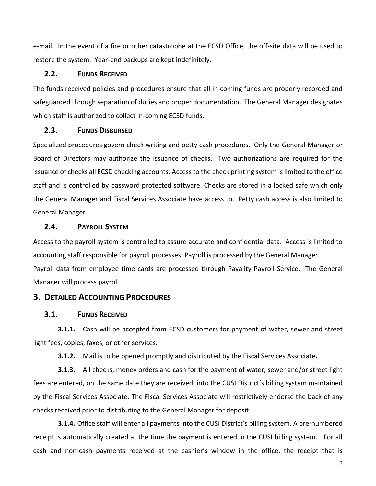e-mail**.** In the event of a fire or other catastrophe at the ECSD Office, the off-site data will be used to restore the system. Year-end backups are kept indefinitely.

#### **2.2. FUNDS RECEIVED**

The funds received policies and procedures ensure that all in-coming funds are properly recorded and safeguarded through separation of duties and proper documentation. The General Manager designates which staff is authorized to collect in-coming ECSD funds.

#### **2.3. FUNDS DISBURSED**

Specialized procedures govern check writing and petty cash procedures. Only the General Manager or Board of Directors may authorize the issuance of checks. Two authorizations are required for the issuance of checks all ECSD checking accounts. Access to the check printing system is limited to the office staff and is controlled by password protected software. Checks are stored in a locked safe which only the General Manager and Fiscal Services Associate have access to. Petty cash access is also limited to General Manager.

#### **2.4. PAYROLL SYSTEM**

Access to the payroll system is controlled to assure accurate and confidential data. Access is limited to accounting staff responsible for payroll processes. Payroll is processed by the General Manager. Payroll data from employee time cards are processed through Payality Payroll Service. The General Manager will process payroll.

#### **3. DETAILED ACCOUNTING PROCEDURES**

#### **3.1. FUNDS RECEIVED**

**3.1.1.** Cash will be accepted from ECSD customers for payment of water, sewer and street light fees, copies, faxes, or other services.

**3.1.2.** Mail is to be opened promptly and distributed by the Fiscal Services Associate**.**

**3.1.3.** All checks, money orders and cash for the payment of water, sewer and/or street light fees are entered, on the same date they are received, into the CUSI District's billing system maintained by the Fiscal Services Associate. The Fiscal Services Associate will restrictively endorse the back of any checks received prior to distributing to the General Manager for deposit.

**3.1.4.** Office staff will enter all payments into the CUSI District's billing system. A pre-numbered receipt is automatically created at the time the payment is entered in the CUSI billing system. For all cash and non-cash payments received at the cashier's window in the office, the receipt that is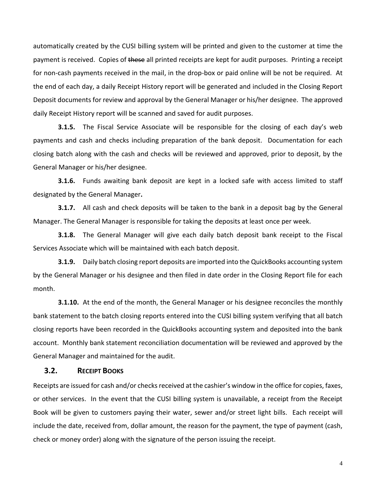automatically created by the CUSI billing system will be printed and given to the customer at time the payment is received. Copies of these all printed receipts are kept for audit purposes. Printing a receipt for non-cash payments received in the mail, in the drop-box or paid online will be not be required. At the end of each day, a daily Receipt History report will be generated and included in the Closing Report Deposit documents for review and approval by the General Manager or his/her designee. The approved daily Receipt History report will be scanned and saved for audit purposes.

**3.1.5.** The Fiscal Service Associate will be responsible for the closing of each day's web payments and cash and checks including preparation of the bank deposit. Documentation for each closing batch along with the cash and checks will be reviewed and approved, prior to deposit, by the General Manager or his/her designee.

**3.1.6.** Funds awaiting bank deposit are kept in a locked safe with access limited to staff designated by the General Manager**.**

**3.1.7.** All cash and check deposits will be taken to the bank in a deposit bag by the General Manager. The General Manager is responsible for taking the deposits at least once per week.

**3.1.8.** The General Manager will give each daily batch deposit bank receipt to the Fiscal Services Associate which will be maintained with each batch deposit.

**3.1.9.** Daily batch closing report deposits are imported into the QuickBooks accounting system by the General Manager or his designee and then filed in date order in the Closing Report file for each month.

**3.1.10.** At the end of the month, the General Manager or his designee reconciles the monthly bank statement to the batch closing reports entered into the CUSI billing system verifying that all batch closing reports have been recorded in the QuickBooks accounting system and deposited into the bank account. Monthly bank statement reconciliation documentation will be reviewed and approved by the General Manager and maintained for the audit.

#### **3.2. RECEIPT BOOKS**

Receipts are issued for cash and/or checks received at the cashier's window in the office for copies, faxes, or other services. In the event that the CUSI billing system is unavailable, a receipt from the Receipt Book will be given to customers paying their water, sewer and/or street light bills. Each receipt will include the date, received from, dollar amount, the reason for the payment, the type of payment (cash, check or money order) along with the signature of the person issuing the receipt.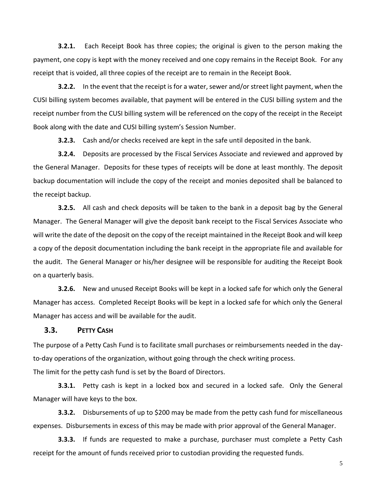**3.2.1.** Each Receipt Book has three copies; the original is given to the person making the payment, one copy is kept with the money received and one copy remains in the Receipt Book. For any receipt that is voided, all three copies of the receipt are to remain in the Receipt Book.

**3.2.2.** In the event that the receipt is for a water, sewer and/or street light payment, when the CUSI billing system becomes available, that payment will be entered in the CUSI billing system and the receipt number from the CUSI billing system will be referenced on the copy of the receipt in the Receipt Book along with the date and CUSI billing system's Session Number.

**3.2.3.** Cash and/or checks received are kept in the safe until deposited in the bank.

**3.2.4.** Deposits are processed by the Fiscal Services Associate and reviewed and approved by the General Manager. Deposits for these types of receipts will be done at least monthly. The deposit backup documentation will include the copy of the receipt and monies deposited shall be balanced to the receipt backup.

**3.2.5.** All cash and check deposits will be taken to the bank in a deposit bag by the General Manager. The General Manager will give the deposit bank receipt to the Fiscal Services Associate who will write the date of the deposit on the copy of the receipt maintained in the Receipt Book and will keep a copy of the deposit documentation including the bank receipt in the appropriate file and available for the audit. The General Manager or his/her designee will be responsible for auditing the Receipt Book on a quarterly basis.

**3.2.6.** New and unused Receipt Books will be kept in a locked safe for which only the General Manager has access. Completed Receipt Books will be kept in a locked safe for which only the General Manager has access and will be available for the audit.

#### **3.3. PETTY CASH**

The purpose of a Petty Cash Fund is to facilitate small purchases or reimbursements needed in the dayto-day operations of the organization, without going through the check writing process. The limit for the petty cash fund is set by the Board of Directors.

**3.3.1.** Petty cash is kept in a locked box and secured in a locked safe. Only the General Manager will have keys to the box.

**3.3.2.** Disbursements of up to \$200 may be made from the petty cash fund for miscellaneous expenses. Disbursements in excess of this may be made with prior approval of the General Manager.

**3.3.3.** If funds are requested to make a purchase, purchaser must complete a Petty Cash receipt for the amount of funds received prior to custodian providing the requested funds.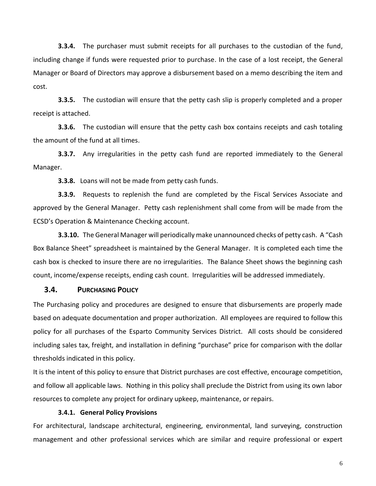**3.3.4.** The purchaser must submit receipts for all purchases to the custodian of the fund, including change if funds were requested prior to purchase. In the case of a lost receipt, the General Manager or Board of Directors may approve a disbursement based on a memo describing the item and cost.

**3.3.5.** The custodian will ensure that the petty cash slip is properly completed and a proper receipt is attached.

**3.3.6.** The custodian will ensure that the petty cash box contains receipts and cash totaling the amount of the fund at all times.

**3.3.7.** Any irregularities in the petty cash fund are reported immediately to the General Manager.

**3.3.8.** Loans will not be made from petty cash funds.

**3.3.9.** Requests to replenish the fund are completed by the Fiscal Services Associate and approved by the General Manager. Petty cash replenishment shall come from will be made from the ECSD's Operation & Maintenance Checking account.

**3.3.10.** The General Manager will periodically make unannounced checks of petty cash. A "Cash Box Balance Sheet" spreadsheet is maintained by the General Manager. It is completed each time the cash box is checked to insure there are no irregularities. The Balance Sheet shows the beginning cash count, income/expense receipts, ending cash count. Irregularities will be addressed immediately.

#### **3.4. PURCHASING POLICY**

The Purchasing policy and procedures are designed to ensure that disbursements are properly made based on adequate documentation and proper authorization. All employees are required to follow this policy for all purchases of the Esparto Community Services District. All costs should be considered including sales tax, freight, and installation in defining "purchase" price for comparison with the dollar thresholds indicated in this policy.

It is the intent of this policy to ensure that District purchases are cost effective, encourage competition, and follow all applicable laws. Nothing in this policy shall preclude the District from using its own labor resources to complete any project for ordinary upkeep, maintenance, or repairs.

#### **3.4.1. General Policy Provisions**

For architectural, landscape architectural, engineering, environmental, land surveying, construction management and other professional services which are similar and require professional or expert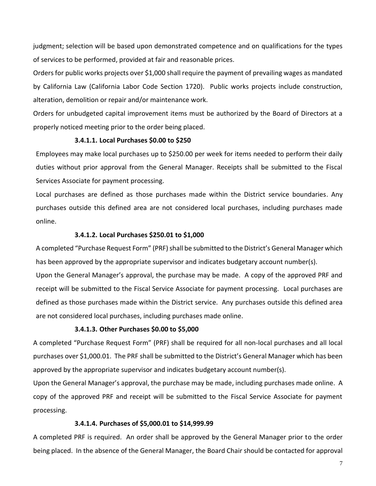judgment; selection will be based upon demonstrated competence and on qualifications for the types of services to be performed, provided at fair and reasonable prices.

Orders for public works projects over \$1,000 shall require the payment of prevailing wages as mandated by California Law (California Labor Code Section 1720). Public works projects include construction, alteration, demolition or repair and/or maintenance work.

Orders for unbudgeted capital improvement items must be authorized by the Board of Directors at a properly noticed meeting prior to the order being placed.

#### **3.4.1.1. Local Purchases \$0.00 to \$250**

Employees may make local purchases up to \$250.00 per week for items needed to perform their daily duties without prior approval from the General Manager. Receipts shall be submitted to the Fiscal Services Associate for payment processing.

Local purchases are defined as those purchases made within the District service boundaries. Any purchases outside this defined area are not considered local purchases, including purchases made online.

#### **3.4.1.2. Local Purchases \$250.01 to \$1,000**

A completed "Purchase Request Form" (PRF) shall be submitted to the District's General Manager which has been approved by the appropriate supervisor and indicates budgetary account number(s).

Upon the General Manager's approval, the purchase may be made. A copy of the approved PRF and receipt will be submitted to the Fiscal Service Associate for payment processing. Local purchases are defined as those purchases made within the District service. Any purchases outside this defined area are not considered local purchases, including purchases made online.

#### **3.4.1.3. Other Purchases \$0.00 to \$5,000**

A completed "Purchase Request Form" (PRF) shall be required for all non-local purchases and all local purchases over \$1,000.01. The PRF shall be submitted to the District's General Manager which has been approved by the appropriate supervisor and indicates budgetary account number(s).

Upon the General Manager's approval, the purchase may be made, including purchases made online. A copy of the approved PRF and receipt will be submitted to the Fiscal Service Associate for payment processing.

#### **3.4.1.4. Purchases of \$5,000.01 to \$14,999.99**

A completed PRF is required. An order shall be approved by the General Manager prior to the order being placed. In the absence of the General Manager, the Board Chair should be contacted for approval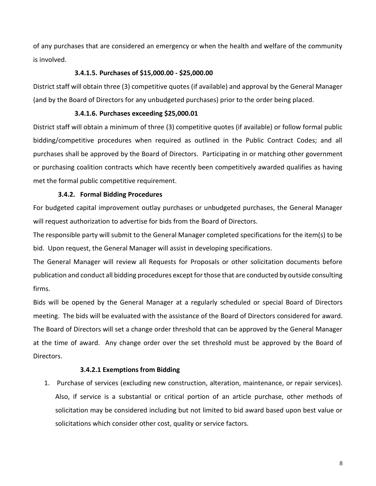of any purchases that are considered an emergency or when the health and welfare of the community is involved.

#### **3.4.1.5. Purchases of \$15,000.00 - \$25,000.00**

District staff will obtain three (3) competitive quotes (if available) and approval by the General Manager (and by the Board of Directors for any unbudgeted purchases) prior to the order being placed.

#### **3.4.1.6. Purchases exceeding \$25,000.01**

District staff will obtain a minimum of three (3) competitive quotes (if available) or follow formal public bidding/competitive procedures when required as outlined in the Public Contract Codes; and all purchases shall be approved by the Board of Directors. Participating in or matching other government or purchasing coalition contracts which have recently been competitively awarded qualifies as having met the formal public competitive requirement.

#### **3.4.2. Formal Bidding Procedures**

For budgeted capital improvement outlay purchases or unbudgeted purchases, the General Manager will request authorization to advertise for bids from the Board of Directors.

The responsible party will submit to the General Manager completed specifications for the item(s) to be bid. Upon request, the General Manager will assist in developing specifications.

The General Manager will review all Requests for Proposals or other solicitation documents before publication and conduct all bidding procedures except for those that are conducted by outside consulting firms.

Bids will be opened by the General Manager at a regularly scheduled or special Board of Directors meeting. The bids will be evaluated with the assistance of the Board of Directors considered for award. The Board of Directors will set a change order threshold that can be approved by the General Manager at the time of award. Any change order over the set threshold must be approved by the Board of Directors.

#### **3.4.2.1 Exemptions from Bidding**

1. Purchase of services (excluding new construction, alteration, maintenance, or repair services). Also, if service is a substantial or critical portion of an article purchase, other methods of solicitation may be considered including but not limited to bid award based upon best value or solicitations which consider other cost, quality or service factors.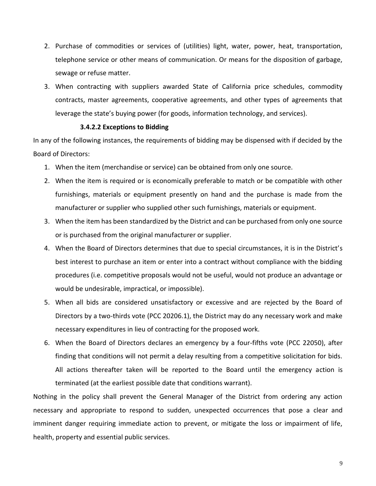- 2. Purchase of commodities or services of (utilities) light, water, power, heat, transportation, telephone service or other means of communication. Or means for the disposition of garbage, sewage or refuse matter.
- 3. When contracting with suppliers awarded State of California price schedules, commodity contracts, master agreements, cooperative agreements, and other types of agreements that leverage the state's buying power (for goods, information technology, and services).

#### **3.4.2.2 Exceptions to Bidding**

In any of the following instances, the requirements of bidding may be dispensed with if decided by the Board of Directors:

- 1. When the item (merchandise or service) can be obtained from only one source.
- 2. When the item is required or is economically preferable to match or be compatible with other furnishings, materials or equipment presently on hand and the purchase is made from the manufacturer or supplier who supplied other such furnishings, materials or equipment.
- 3. When the item has been standardized by the District and can be purchased from only one source or is purchased from the original manufacturer or supplier.
- 4. When the Board of Directors determines that due to special circumstances, it is in the District's best interest to purchase an item or enter into a contract without compliance with the bidding procedures (i.e. competitive proposals would not be useful, would not produce an advantage or would be undesirable, impractical, or impossible).
- 5. When all bids are considered unsatisfactory or excessive and are rejected by the Board of Directors by a two-thirds vote (PCC 20206.1), the District may do any necessary work and make necessary expenditures in lieu of contracting for the proposed work.
- 6. When the Board of Directors declares an emergency by a four-fifths vote (PCC 22050), after finding that conditions will not permit a delay resulting from a competitive solicitation for bids. All actions thereafter taken will be reported to the Board until the emergency action is terminated (at the earliest possible date that conditions warrant).

Nothing in the policy shall prevent the General Manager of the District from ordering any action necessary and appropriate to respond to sudden, unexpected occurrences that pose a clear and imminent danger requiring immediate action to prevent, or mitigate the loss or impairment of life, health, property and essential public services.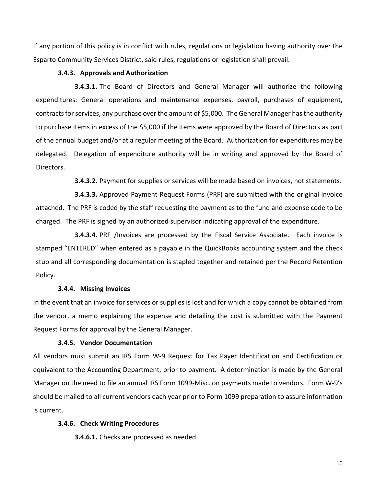If any portion of this policy is in conflict with rules, regulations or legislation having authority over the Esparto Community Services District, said rules, regulations or legislation shall prevail.

#### **3.4.3. Approvals and Authorization**

**3.4.3.1.** The Board of Directors and General Manager will authorize the following expenditures: General operations and maintenance expenses, payroll, purchases of equipment, contracts for services, any purchase over the amount of \$5,000. The General Manager has the authority to purchase items in excess of the \$5,000 if the items were approved by the Board of Directors as part of the annual budget and/or at a regular meeting of the Board. Authorization for expenditures may be delegated. Delegation of expenditure authority will be in writing and approved by the Board of Directors.

**3.4.3.2.** Payment for supplies or services will be made based on invoices, not statements.

**3.4.3.3.** Approved Payment Request Forms (PRF) are submitted with the original invoice attached. The PRF is coded by the staff requesting the payment as to the fund and expense code to be charged. The PRF is signed by an authorized supervisor indicating approval of the expenditure.

**3.4.3.4.** PRF /Invoices are processed by the Fiscal Service Associate. Each invoice is stamped "ENTERED" when entered as a payable in the QuickBooks accounting system and the check stub and all corresponding documentation is stapled together and retained per the Record Retention Policy.

#### **3.4.4. Missing Invoices**

In the event that an invoice for services or supplies is lost and for which a copy cannot be obtained from the vendor, a memo explaining the expense and detailing the cost is submitted with the Payment Request Forms for approval by the General Manager.

#### **3.4.5. Vendor Documentation**

All vendors must submit an IRS Form W-9 Request for Tax Payer Identification and Certification or equivalent to the Accounting Department, prior to payment. A determination is made by the General Manager on the need to file an annual IRS Form 1099-Misc. on payments made to vendors. Form W-9's should be mailed to all current vendors each year prior to Form 1099 preparation to assure information is current.

#### **3.4.6. Check Writing Procedures**

**3.4.6.1.** Checks are processed as needed.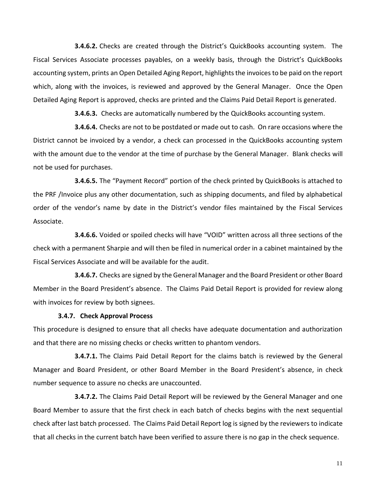**3.4.6.2.** Checks are created through the District's QuickBooks accounting system. The Fiscal Services Associate processes payables, on a weekly basis, through the District's QuickBooks accounting system, prints an Open Detailed Aging Report, highlights the invoices to be paid on the report which, along with the invoices, is reviewed and approved by the General Manager. Once the Open Detailed Aging Report is approved, checks are printed and the Claims Paid Detail Report is generated.

**3.4.6.3.** Checks are automatically numbered by the QuickBooks accounting system.

**3.4.6.4.** Checks are not to be postdated or made out to cash. On rare occasions where the District cannot be invoiced by a vendor, a check can processed in the QuickBooks accounting system with the amount due to the vendor at the time of purchase by the General Manager. Blank checks will not be used for purchases.

**3.4.6.5.** The "Payment Record" portion of the check printed by QuickBooks is attached to the PRF /Invoice plus any other documentation, such as shipping documents, and filed by alphabetical order of the vendor's name by date in the District's vendor files maintained by the Fiscal Services Associate.

**3.4.6.6.** Voided or spoiled checks will have "VOID" written across all three sections of the check with a permanent Sharpie and will then be filed in numerical order in a cabinet maintained by the Fiscal Services Associate and will be available for the audit.

**3.4.6.7.** Checks are signed by the General Manager and the Board President or other Board Member in the Board President's absence. The Claims Paid Detail Report is provided for review along with invoices for review by both signees.

#### **3.4.7. Check Approval Process**

This procedure is designed to ensure that all checks have adequate documentation and authorization and that there are no missing checks or checks written to phantom vendors.

**3.4.7.1.** The Claims Paid Detail Report for the claims batch is reviewed by the General Manager and Board President, or other Board Member in the Board President's absence, in check number sequence to assure no checks are unaccounted.

**3.4.7.2.** The Claims Paid Detail Report will be reviewed by the General Manager and one Board Member to assure that the first check in each batch of checks begins with the next sequential check after last batch processed. The Claims Paid Detail Report log is signed by the reviewers to indicate that all checks in the current batch have been verified to assure there is no gap in the check sequence.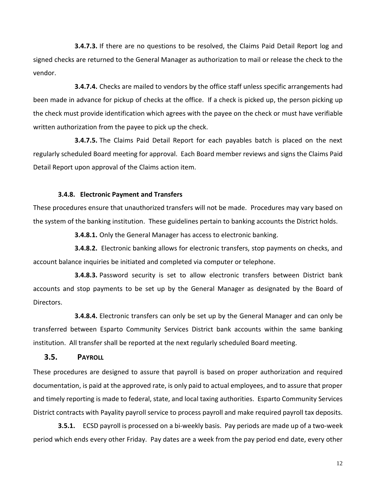**3.4.7.3.** If there are no questions to be resolved, the Claims Paid Detail Report log and signed checks are returned to the General Manager as authorization to mail or release the check to the vendor.

**3.4.7.4.** Checks are mailed to vendors by the office staff unless specific arrangements had been made in advance for pickup of checks at the office. If a check is picked up, the person picking up the check must provide identification which agrees with the payee on the check or must have verifiable written authorization from the payee to pick up the check.

**3.4.7.5.** The Claims Paid Detail Report for each payables batch is placed on the next regularly scheduled Board meeting for approval. Each Board member reviews and signs the Claims Paid Detail Report upon approval of the Claims action item.

#### **3.4.8. Electronic Payment and Transfers**

These procedures ensure that unauthorized transfers will not be made. Procedures may vary based on the system of the banking institution. These guidelines pertain to banking accounts the District holds.

**3.4.8.1.** Only the General Manager has access to electronic banking.

**3.4.8.2.** Electronic banking allows for electronic transfers, stop payments on checks, and account balance inquiries be initiated and completed via computer or telephone.

**3.4.8.3.** Password security is set to allow electronic transfers between District bank accounts and stop payments to be set up by the General Manager as designated by the Board of Directors.

**3.4.8.4.** Electronic transfers can only be set up by the General Manager and can only be transferred between Esparto Community Services District bank accounts within the same banking institution. All transfer shall be reported at the next regularly scheduled Board meeting.

#### **3.5. PAYROLL**

These procedures are designed to assure that payroll is based on proper authorization and required documentation, is paid at the approved rate, is only paid to actual employees, and to assure that proper and timely reporting is made to federal, state, and local taxing authorities. Esparto Community Services District contracts with Payality payroll service to process payroll and make required payroll tax deposits.

**3.5.1.** ECSD payroll is processed on a bi-weekly basis. Pay periods are made up of a two-week period which ends every other Friday. Pay dates are a week from the pay period end date, every other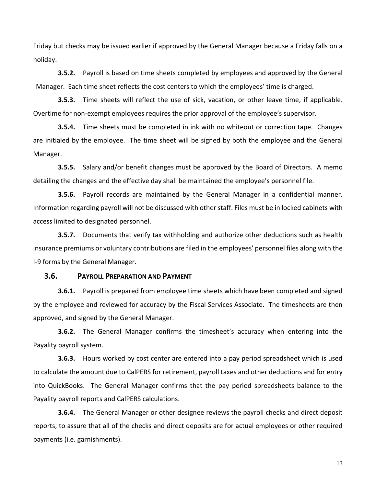Friday but checks may be issued earlier if approved by the General Manager because a Friday falls on a holiday.

**3.5.2.** Payroll is based on time sheets completed by employees and approved by the General Manager. Each time sheet reflects the cost centers to which the employees' time is charged.

**3.5.3.** Time sheets will reflect the use of sick, vacation, or other leave time, if applicable. Overtime for non-exempt employees requires the prior approval of the employee's supervisor.

**3.5.4.** Time sheets must be completed in ink with no whiteout or correction tape. Changes are initialed by the employee. The time sheet will be signed by both the employee and the General Manager.

**3.5.5.** Salary and/or benefit changes must be approved by the Board of Directors. A memo detailing the changes and the effective day shall be maintained the employee's personnel file.

**3.5.6.** Payroll records are maintained by the General Manager in a confidential manner. Information regarding payroll will not be discussed with other staff. Files must be in locked cabinets with access limited to designated personnel.

**3.5.7.** Documents that verify tax withholding and authorize other deductions such as health insurance premiums or voluntary contributions are filed in the employees' personnel files along with the I-9 forms by the General Manager.

#### **3.6. PAYROLL PREPARATION AND PAYMENT**

**3.6.1.** Payroll is prepared from employee time sheets which have been completed and signed by the employee and reviewed for accuracy by the Fiscal Services Associate. The timesheets are then approved, and signed by the General Manager.

**3.6.2.** The General Manager confirms the timesheet's accuracy when entering into the Payality payroll system.

**3.6.3.** Hours worked by cost center are entered into a pay period spreadsheet which is used to calculate the amount due to CalPERS for retirement, payroll taxes and other deductions and for entry into QuickBooks. The General Manager confirms that the pay period spreadsheets balance to the Payality payroll reports and CalPERS calculations.

**3.6.4.** The General Manager or other designee reviews the payroll checks and direct deposit reports, to assure that all of the checks and direct deposits are for actual employees or other required payments (i.e. garnishments).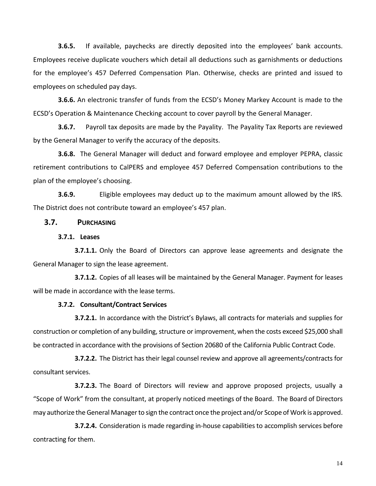**3.6.5.** If available, paychecks are directly deposited into the employees' bank accounts. Employees receive duplicate vouchers which detail all deductions such as garnishments or deductions for the employee's 457 Deferred Compensation Plan. Otherwise, checks are printed and issued to employees on scheduled pay days.

**3.6.6.** An electronic transfer of funds from the ECSD's Money Markey Account is made to the ECSD's Operation & Maintenance Checking account to cover payroll by the General Manager.

**3.6.7.** Payroll tax deposits are made by the Payality. The Payality Tax Reports are reviewed by the General Manager to verify the accuracy of the deposits.

**3.6.8.** The General Manager will deduct and forward employee and employer PEPRA, classic retirement contributions to CalPERS and employee 457 Deferred Compensation contributions to the plan of the employee's choosing.

**3.6.9.** Eligible employees may deduct up to the maximum amount allowed by the IRS. The District does not contribute toward an employee's 457 plan.

#### **3.7. PURCHASING**

#### **3.7.1. Leases**

**3.7.1.1.** Only the Board of Directors can approve lease agreements and designate the General Manager to sign the lease agreement.

**3.7.1.2.** Copies of all leases will be maintained by the General Manager. Payment for leases will be made in accordance with the lease terms.

#### **3.7.2. Consultant/Contract Services**

**3.7.2.1.** In accordance with the District's Bylaws, all contracts for materials and supplies for construction or completion of any building, structure or improvement, when the costs exceed \$25,000 shall be contracted in accordance with the provisions of Section 20680 of the California Public Contract Code.

**3.7.2.2.** The District has their legal counsel review and approve all agreements/contracts for consultant services.

**3.7.2.3.** The Board of Directors will review and approve proposed projects, usually a "Scope of Work" from the consultant, at properly noticed meetings of the Board. The Board of Directors may authorize the General Manager to sign the contract once the project and/or Scope of Work is approved.

**3.7.2.4.** Consideration is made regarding in-house capabilities to accomplish services before contracting for them.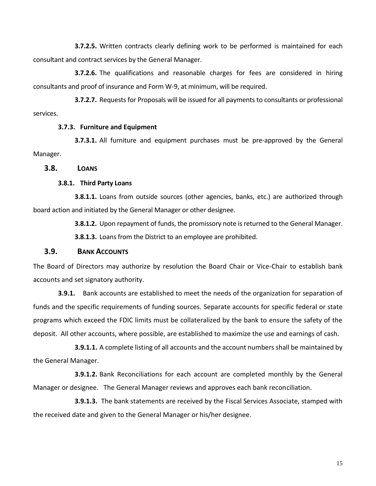**3.7.2.5.** Written contracts clearly defining work to be performed is maintained for each consultant and contract services by the General Manager.

**3.7.2.6.** The qualifications and reasonable charges for fees are considered in hiring consultants and proof of insurance and Form W-9, at minimum, will be required.

**3.7.2.7.** Requests for Proposals will be issued for all payments to consultants or professional services.

#### **3.7.3. Furniture and Equipment**

**3.7.3.1.** All furniture and equipment purchases must be pre-approved by the General Manager.

#### **3.8. LOANS**

#### **3.8.1. Third Party Loans**

**3.8.1.1.** Loans from outside sources (other agencies, banks, etc.) are authorized through board action and initiated by the General Manager or other designee.

**3.8.1.2.** Upon repayment of funds, the promissory note is returned to the General Manager.

**3.8.1.3.** Loans from the District to an employee are prohibited.

#### **3.9. BANK ACCOUNTS**

The Board of Directors may authorize by resolution the Board Chair or Vice-Chair to establish bank accounts and set signatory authority.

**3.9.1.** Bank accounts are established to meet the needs of the organization for separation of funds and the specific requirements of funding sources. Separate accounts for specific federal or state programs which exceed the FDIC limits must be collateralized by the bank to ensure the safety of the deposit. All other accounts, where possible, are established to maximize the use and earnings of cash.

**3.9.1.1.** A complete listing of all accounts and the account numbers shall be maintained by the General Manager.

**3.9.1.2.** Bank Reconciliations for each account are completed monthly by the General Manager or designee. The General Manager reviews and approves each bank reconciliation.

**3.9.1.3.** The bank statements are received by the Fiscal Services Associate, stamped with the received date and given to the General Manager or his/her designee.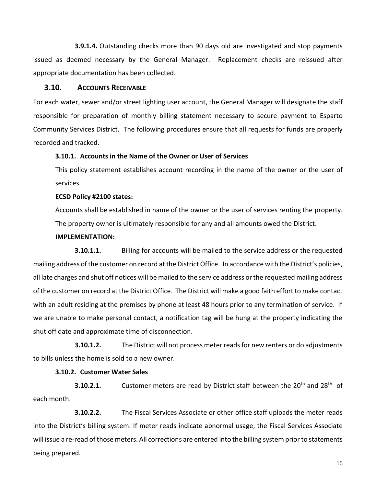**3.9.1.4.** Outstanding checks more than 90 days old are investigated and stop payments issued as deemed necessary by the General Manager. Replacement checks are reissued after appropriate documentation has been collected.

#### **3.10. ACCOUNTS RECEIVABLE**

For each water, sewer and/or street lighting user account, the General Manager will designate the staff responsible for preparation of monthly billing statement necessary to secure payment to Esparto Community Services District. The following procedures ensure that all requests for funds are properly recorded and tracked.

#### **3.10.1. Accounts in the Name of the Owner or User of Services**

This policy statement establishes account recording in the name of the owner or the user of services.

#### **ECSD Policy #2100 states:**

Accounts shall be established in name of the owner or the user of services renting the property. The property owner is ultimately responsible for any and all amounts owed the District.

#### **IMPLEMENTATION:**

**3.10.1.1.** Billing for accounts will be mailed to the service address or the requested mailing address of the customer on record at the District Office. In accordance with the District's policies, all late charges and shut off notices will be mailed to the service address or the requested mailing address of the customer on record at the District Office. The District will make a good faith effort to make contact with an adult residing at the premises by phone at least 48 hours prior to any termination of service. If we are unable to make personal contact, a notification tag will be hung at the property indicating the shut off date and approximate time of disconnection.

**3.10.1.2.** The District will not process meter reads for new renters or do adjustments to bills unless the home is sold to a new owner.

#### **3.10.2. Customer Water Sales**

**3.10.2.1.** Customer meters are read by District staff between the 20<sup>th</sup> and 28<sup>th</sup> of each month.

**3.10.2.2.** The Fiscal Services Associate or other office staff uploads the meter reads into the District's billing system. If meter reads indicate abnormal usage, the Fiscal Services Associate will issue a re-read of those meters. All corrections are entered into the billing system prior to statements being prepared.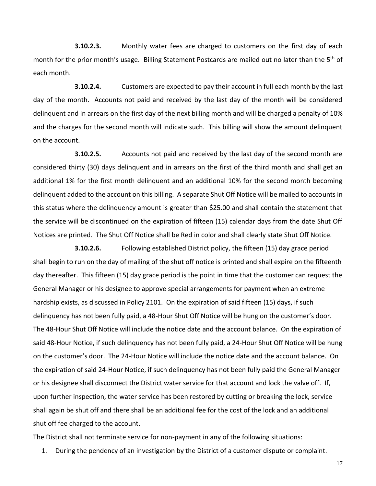**3.10.2.3.** Monthly water fees are charged to customers on the first day of each month for the prior month's usage. Billing Statement Postcards are mailed out no later than the 5<sup>th</sup> of each month.

**3.10.2.4.** Customers are expected to pay their account in full each month by the last day of the month. Accounts not paid and received by the last day of the month will be considered delinquent and in arrears on the first day of the next billing month and will be charged a penalty of 10% and the charges for the second month will indicate such. This billing will show the amount delinquent on the account.

**3.10.2.5.** Accounts not paid and received by the last day of the second month are considered thirty (30) days delinquent and in arrears on the first of the third month and shall get an additional 1% for the first month delinquent and an additional 10% for the second month becoming delinquent added to the account on this billing. A separate Shut Off Notice will be mailed to accounts in this status where the delinquency amount is greater than \$25.00 and shall contain the statement that the service will be discontinued on the expiration of fifteen (15) calendar days from the date Shut Off Notices are printed. The Shut Off Notice shall be Red in color and shall clearly state Shut Off Notice.

**3.10.2.6.** Following established District policy, the fifteen (15) day grace period shall begin to run on the day of mailing of the shut off notice is printed and shall expire on the fifteenth day thereafter. This fifteen (15) day grace period is the point in time that the customer can request the General Manager or his designee to approve special arrangements for payment when an extreme hardship exists, as discussed in Policy 2101. On the expiration of said fifteen (15) days, if such delinquency has not been fully paid, a 48-Hour Shut Off Notice will be hung on the customer's door. The 48-Hour Shut Off Notice will include the notice date and the account balance. On the expiration of said 48-Hour Notice, if such delinquency has not been fully paid, a 24-Hour Shut Off Notice will be hung on the customer's door. The 24-Hour Notice will include the notice date and the account balance. On the expiration of said 24-Hour Notice, if such delinquency has not been fully paid the General Manager or his designee shall disconnect the District water service for that account and lock the valve off. If, upon further inspection, the water service has been restored by cutting or breaking the lock, service shall again be shut off and there shall be an additional fee for the cost of the lock and an additional shut off fee charged to the account.

The District shall not terminate service for non-payment in any of the following situations:

1. During the pendency of an investigation by the District of a customer dispute or complaint.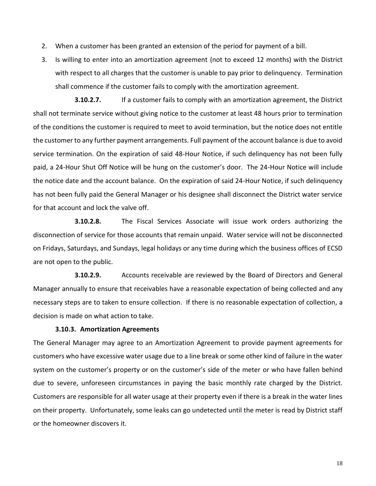- 2. When a customer has been granted an extension of the period for payment of a bill.
- 3. Is willing to enter into an amortization agreement (not to exceed 12 months) with the District with respect to all charges that the customer is unable to pay prior to delinquency. Termination shall commence if the customer fails to comply with the amortization agreement.

**3.10.2.7.** If a customer fails to comply with an amortization agreement, the District shall not terminate service without giving notice to the customer at least 48 hours prior to termination of the conditions the customer is required to meet to avoid termination, but the notice does not entitle the customer to any further payment arrangements. Full payment of the account balance is due to avoid service termination. On the expiration of said 48-Hour Notice, if such delinquency has not been fully paid, a 24-Hour Shut Off Notice will be hung on the customer's door. The 24-Hour Notice will include the notice date and the account balance. On the expiration of said 24-Hour Notice, if such delinquency has not been fully paid the General Manager or his designee shall disconnect the District water service for that account and lock the valve off.

**3.10.2.8.** The Fiscal Services Associate will issue work orders authorizing the disconnection of service for those accounts that remain unpaid. Water service will not be disconnected on Fridays, Saturdays, and Sundays, legal holidays or any time during which the business offices of ECSD are not open to the public.

**3.10.2.9.** Accounts receivable are reviewed by the Board of Directors and General Manager annually to ensure that receivables have a reasonable expectation of being collected and any necessary steps are to taken to ensure collection. If there is no reasonable expectation of collection, a decision is made on what action to take.

#### **3.10.3. Amortization Agreements**

The General Manager may agree to an Amortization Agreement to provide payment agreements for customers who have excessive water usage due to a line break or some other kind of failure in the water system on the customer's property or on the customer's side of the meter or who have fallen behind due to severe, unforeseen circumstances in paying the basic monthly rate charged by the District. Customers are responsible for all water usage at their property even if there is a break in the water lines on their property. Unfortunately, some leaks can go undetected until the meter is read by District staff or the homeowner discovers it.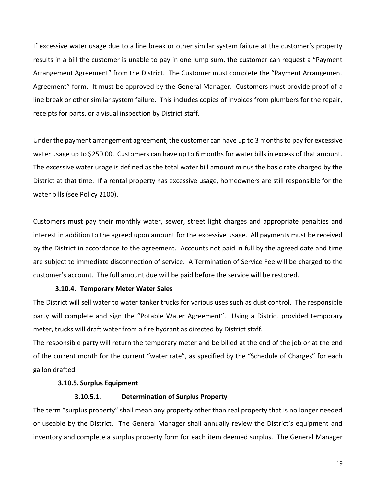If excessive water usage due to a line break or other similar system failure at the customer's property results in a bill the customer is unable to pay in one lump sum, the customer can request a "Payment Arrangement Agreement" from the District. The Customer must complete the "Payment Arrangement Agreement" form. It must be approved by the General Manager. Customers must provide proof of a line break or other similar system failure. This includes copies of invoices from plumbers for the repair, receipts for parts, or a visual inspection by District staff.

Under the payment arrangement agreement, the customer can have up to 3 months to pay for excessive water usage up to \$250.00. Customers can have up to 6 months for water bills in excess of that amount. The excessive water usage is defined as the total water bill amount minus the basic rate charged by the District at that time. If a rental property has excessive usage, homeowners are still responsible for the water bills (see Policy 2100).

Customers must pay their monthly water, sewer, street light charges and appropriate penalties and interest in addition to the agreed upon amount for the excessive usage. All payments must be received by the District in accordance to the agreement. Accounts not paid in full by the agreed date and time are subject to immediate disconnection of service. A Termination of Service Fee will be charged to the customer's account. The full amount due will be paid before the service will be restored.

#### **3.10.4. Temporary Meter Water Sales**

The District will sell water to water tanker trucks for various uses such as dust control. The responsible party will complete and sign the "Potable Water Agreement". Using a District provided temporary meter, trucks will draft water from a fire hydrant as directed by District staff.

The responsible party will return the temporary meter and be billed at the end of the job or at the end of the current month for the current "water rate", as specified by the "Schedule of Charges" for each gallon drafted.

#### **3.10.5. Surplus Equipment**

#### **3.10.5.1. Determination of Surplus Property**

The term "surplus property" shall mean any property other than real property that is no longer needed or useable by the District. The General Manager shall annually review the District's equipment and inventory and complete a surplus property form for each item deemed surplus. The General Manager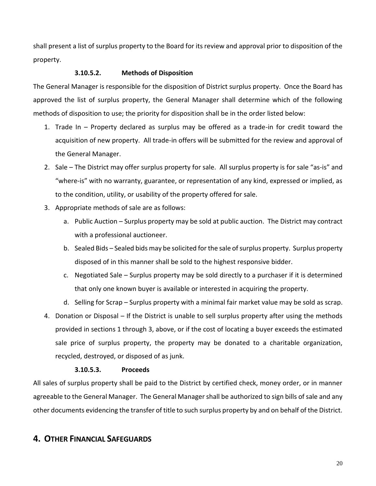shall present a list of surplus property to the Board for its review and approval prior to disposition of the property.

#### **3.10.5.2. Methods of Disposition**

The General Manager is responsible for the disposition of District surplus property. Once the Board has approved the list of surplus property, the General Manager shall determine which of the following methods of disposition to use; the priority for disposition shall be in the order listed below:

- 1. Trade In Property declared as surplus may be offered as a trade-in for credit toward the acquisition of new property. All trade-in offers will be submitted for the review and approval of the General Manager.
- 2. Sale The District may offer surplus property for sale. All surplus property is for sale "as-is" and "where-is" with no warranty, guarantee, or representation of any kind, expressed or implied, as to the condition, utility, or usability of the property offered for sale.
- 3. Appropriate methods of sale are as follows:
	- a. Public Auction Surplus property may be sold at public auction. The District may contract with a professional auctioneer.
	- b. Sealed Bids Sealed bids may be solicited for the sale of surplus property. Surplus property disposed of in this manner shall be sold to the highest responsive bidder.
	- c. Negotiated Sale Surplus property may be sold directly to a purchaser if it is determined that only one known buyer is available or interested in acquiring the property.
	- d. Selling for Scrap Surplus property with a minimal fair market value may be sold as scrap.
- 4. Donation or Disposal If the District is unable to sell surplus property after using the methods provided in sections 1 through 3, above, or if the cost of locating a buyer exceeds the estimated sale price of surplus property, the property may be donated to a charitable organization, recycled, destroyed, or disposed of as junk.

#### **3.10.5.3. Proceeds**

All sales of surplus property shall be paid to the District by certified check, money order, or in manner agreeable to the General Manager. The General Manager shall be authorized to sign bills of sale and any other documents evidencing the transfer of title to such surplus property by and on behalf of the District.

## **4. OTHER FINANCIAL SAFEGUARDS**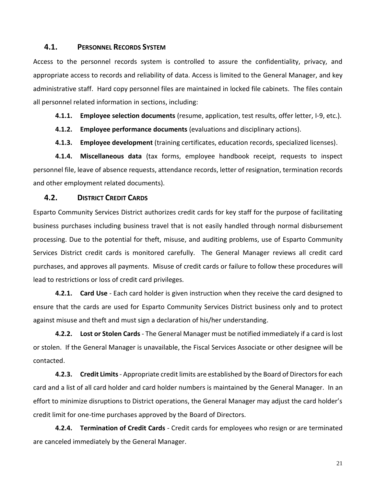#### **4.1. PERSONNEL RECORDS SYSTEM**

Access to the personnel records system is controlled to assure the confidentiality, privacy, and appropriate access to records and reliability of data. Access is limited to the General Manager, and key administrative staff. Hard copy personnel files are maintained in locked file cabinets. The files contain all personnel related information in sections, including:

**4.1.1. Employee selection documents** (resume, application, test results, offer letter, I-9, etc.).

**4.1.2. Employee performance documents** (evaluations and disciplinary actions).

**4.1.3. Employee development** (training certificates, education records, specialized licenses).

**4.1.4. Miscellaneous data** (tax forms, employee handbook receipt, requests to inspect personnel file, leave of absence requests, attendance records, letter of resignation, termination records and other employment related documents).

#### **4.2. DISTRICT CREDIT CARDS**

Esparto Community Services District authorizes credit cards for key staff for the purpose of facilitating business purchases including business travel that is not easily handled through normal disbursement processing. Due to the potential for theft, misuse, and auditing problems, use of Esparto Community Services District credit cards is monitored carefully. The General Manager reviews all credit card purchases, and approves all payments. Misuse of credit cards or failure to follow these procedures will lead to restrictions or loss of credit card privileges.

**4.2.1. Card Use** - Each card holder is given instruction when they receive the card designed to ensure that the cards are used for Esparto Community Services District business only and to protect against misuse and theft and must sign a declaration of his/her understanding.

**4.2.2. Lost or Stolen Cards** - The General Manager must be notified immediately if a card is lost or stolen. If the General Manager is unavailable, the Fiscal Services Associate or other designee will be contacted.

**4.2.3. Credit Limits**- Appropriate credit limits are established by the Board of Directorsfor each card and a list of all card holder and card holder numbers is maintained by the General Manager. In an effort to minimize disruptions to District operations, the General Manager may adjust the card holder's credit limit for one-time purchases approved by the Board of Directors.

**4.2.4. Termination of Credit Cards** - Credit cards for employees who resign or are terminated are canceled immediately by the General Manager.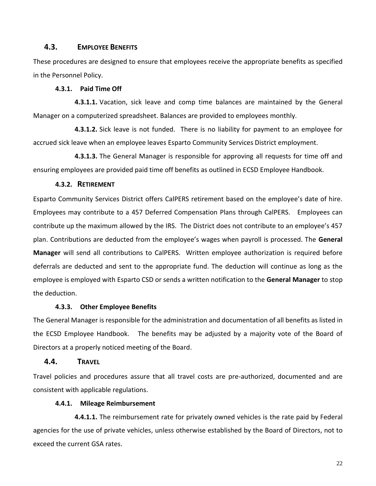#### **4.3. EMPLOYEE BENEFITS**

These procedures are designed to ensure that employees receive the appropriate benefits as specified in the Personnel Policy.

#### **4.3.1. Paid Time Off**

**4.3.1.1.** Vacation, sick leave and comp time balances are maintained by the General Manager on a computerized spreadsheet. Balances are provided to employees monthly.

**4.3.1.2.** Sick leave is not funded. There is no liability for payment to an employee for accrued sick leave when an employee leaves Esparto Community Services District employment.

**4.3.1.3.** The General Manager is responsible for approving all requests for time off and ensuring employees are provided paid time off benefits as outlined in ECSD Employee Handbook.

#### **4.3.2. RETIREMENT**

Esparto Community Services District offers CalPERS retirement based on the employee's date of hire. Employees may contribute to a 457 Deferred Compensation Plans through CalPERS. Employees can contribute up the maximum allowed by the IRS. The District does not contribute to an employee's 457 plan. Contributions are deducted from the employee's wages when payroll is processed. The **General Manager** will send all contributions to CalPERS. Written employee authorization is required before deferrals are deducted and sent to the appropriate fund. The deduction will continue as long as the employee is employed with Esparto CSD or sends a written notification to the **General Manager** to stop the deduction.

#### **4.3.3. Other Employee Benefits**

The General Manager is responsible for the administration and documentation of all benefits as listed in the ECSD Employee Handbook. The benefits may be adjusted by a majority vote of the Board of Directors at a properly noticed meeting of the Board.

#### **4.4. TRAVEL**

Travel policies and procedures assure that all travel costs are pre-authorized, documented and are consistent with applicable regulations.

#### **4.4.1. Mileage Reimbursement**

**4.4.1.1.** The reimbursement rate for privately owned vehicles is the rate paid by Federal agencies for the use of private vehicles, unless otherwise established by the Board of Directors, not to exceed the current GSA rates.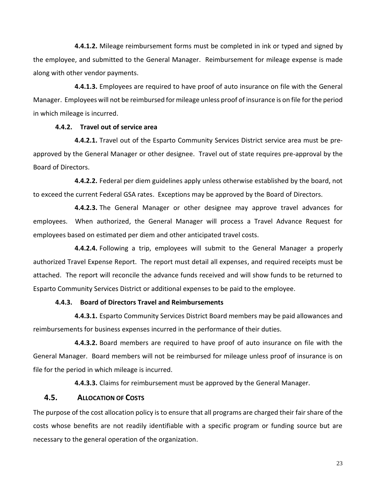**4.4.1.2.** Mileage reimbursement forms must be completed in ink or typed and signed by the employee, and submitted to the General Manager. Reimbursement for mileage expense is made along with other vendor payments.

**4.4.1.3.** Employees are required to have proof of auto insurance on file with the General Manager. Employees will not be reimbursed for mileage unless proof of insurance is on file for the period in which mileage is incurred.

#### **4.4.2. Travel out of service area**

**4.4.2.1.** Travel out of the Esparto Community Services District service area must be preapproved by the General Manager or other designee. Travel out of state requires pre-approval by the Board of Directors.

**4.4.2.2.** Federal per diem guidelines apply unless otherwise established by the board, not to exceed the current Federal GSA rates. Exceptions may be approved by the Board of Directors.

**4.4.2.3.** The General Manager or other designee may approve travel advances for employees. When authorized, the General Manager will process a Travel Advance Request for employees based on estimated per diem and other anticipated travel costs.

**4.4.2.4.** Following a trip, employees will submit to the General Manager a properly authorized Travel Expense Report. The report must detail all expenses, and required receipts must be attached. The report will reconcile the advance funds received and will show funds to be returned to Esparto Community Services District or additional expenses to be paid to the employee.

#### **4.4.3. Board of Directors Travel and Reimbursements**

**4.4.3.1.** Esparto Community Services District Board members may be paid allowances and reimbursements for business expenses incurred in the performance of their duties.

**4.4.3.2.** Board members are required to have proof of auto insurance on file with the General Manager. Board members will not be reimbursed for mileage unless proof of insurance is on file for the period in which mileage is incurred.

**4.4.3.3.** Claims for reimbursement must be approved by the General Manager.

#### **4.5. ALLOCATION OF COSTS**

The purpose of the cost allocation policy is to ensure that all programs are charged their fair share of the costs whose benefits are not readily identifiable with a specific program or funding source but are necessary to the general operation of the organization.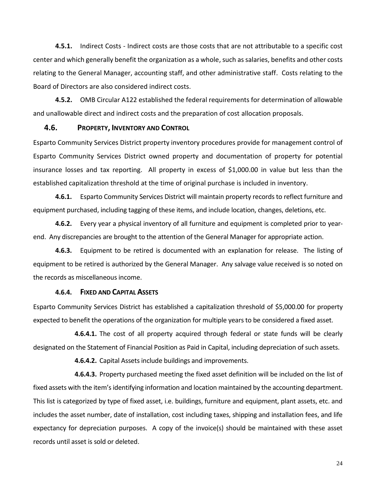**4.5.1.** Indirect Costs - Indirect costs are those costs that are not attributable to a specific cost center and which generally benefit the organization as a whole, such as salaries, benefits and other costs relating to the General Manager, accounting staff, and other administrative staff. Costs relating to the Board of Directors are also considered indirect costs.

**4.5.2.** OMB Circular A122 established the federal requirements for determination of allowable and unallowable direct and indirect costs and the preparation of cost allocation proposals.

#### **4.6. PROPERTY, INVENTORY AND CONTROL**

Esparto Community Services District property inventory procedures provide for management control of Esparto Community Services District owned property and documentation of property for potential insurance losses and tax reporting. All property in excess of \$1,000.00 in value but less than the established capitalization threshold at the time of original purchase is included in inventory.

**4.6.1.** Esparto Community Services District will maintain property records to reflect furniture and equipment purchased, including tagging of these items, and include location, changes, deletions, etc.

**4.6.2.** Every year a physical inventory of all furniture and equipment is completed prior to yearend. Any discrepancies are brought to the attention of the General Manager for appropriate action.

**4.6.3.** Equipment to be retired is documented with an explanation for release. The listing of equipment to be retired is authorized by the General Manager. Any salvage value received is so noted on the records as miscellaneous income.

#### **4.6.4. FIXED AND CAPITAL ASSETS**

Esparto Community Services District has established a capitalization threshold of \$5,000.00 for property expected to benefit the operations of the organization for multiple years to be considered a fixed asset.

**4.6.4.1.** The cost of all property acquired through federal or state funds will be clearly designated on the Statement of Financial Position as Paid in Capital, including depreciation of such assets.

**4.6.4.2.** Capital Assets include buildings and improvements.

**4.6.4.3.** Property purchased meeting the fixed asset definition will be included on the list of fixed assets with the item's identifying information and location maintained by the accounting department. This list is categorized by type of fixed asset, i.e. buildings, furniture and equipment, plant assets, etc. and includes the asset number, date of installation, cost including taxes, shipping and installation fees, and life expectancy for depreciation purposes. A copy of the invoice(s) should be maintained with these asset records until asset is sold or deleted.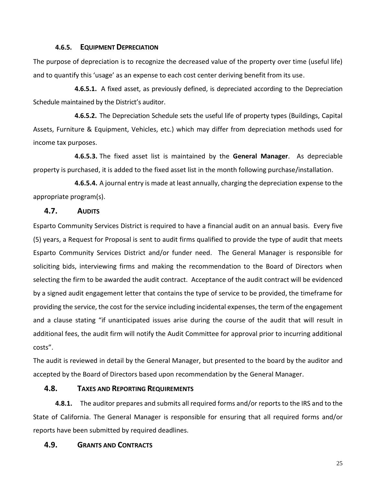#### **4.6.5. EQUIPMENT DEPRECIATION**

The purpose of depreciation is to recognize the decreased value of the property over time (useful life) and to quantify this 'usage' as an expense to each cost center deriving benefit from its use.

**4.6.5.1.** A fixed asset, as previously defined, is depreciated according to the Depreciation Schedule maintained by the District's auditor.

**4.6.5.2.** The Depreciation Schedule sets the useful life of property types (Buildings, Capital Assets, Furniture & Equipment, Vehicles, etc.) which may differ from depreciation methods used for income tax purposes.

**4.6.5.3.** The fixed asset list is maintained by the **General Manager**. As depreciable property is purchased, it is added to the fixed asset list in the month following purchase/installation.

**4.6.5.4.** A journal entry is made at least annually, charging the depreciation expense to the appropriate program(s).

#### **4.7. AUDITS**

Esparto Community Services District is required to have a financial audit on an annual basis. Every five (5) years, a Request for Proposal is sent to audit firms qualified to provide the type of audit that meets Esparto Community Services District and/or funder need. The General Manager is responsible for soliciting bids, interviewing firms and making the recommendation to the Board of Directors when selecting the firm to be awarded the audit contract. Acceptance of the audit contract will be evidenced by a signed audit engagement letter that contains the type of service to be provided, the timeframe for providing the service, the cost for the service including incidental expenses, the term of the engagement and a clause stating "if unanticipated issues arise during the course of the audit that will result in additional fees, the audit firm will notify the Audit Committee for approval prior to incurring additional costs".

The audit is reviewed in detail by the General Manager, but presented to the board by the auditor and accepted by the Board of Directors based upon recommendation by the General Manager.

#### **4.8. TAXES AND REPORTING REQUIREMENTS**

**4.8.1.** The auditor prepares and submits all required forms and/or reports to the IRS and to the State of California. The General Manager is responsible for ensuring that all required forms and/or reports have been submitted by required deadlines.

#### **4.9. GRANTS AND CONTRACTS**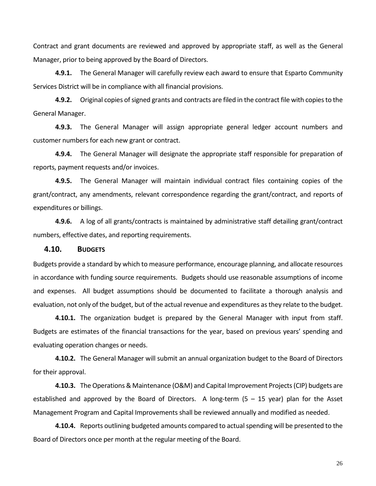Contract and grant documents are reviewed and approved by appropriate staff, as well as the General Manager, prior to being approved by the Board of Directors.

**4.9.1.** The General Manager will carefully review each award to ensure that Esparto Community Services District will be in compliance with all financial provisions.

**4.9.2.** Original copies of signed grants and contracts are filed in the contract file with copies to the General Manager.

**4.9.3.** The General Manager will assign appropriate general ledger account numbers and customer numbers for each new grant or contract.

**4.9.4.** The General Manager will designate the appropriate staff responsible for preparation of reports, payment requests and/or invoices.

**4.9.5.** The General Manager will maintain individual contract files containing copies of the grant/contract, any amendments, relevant correspondence regarding the grant/contract, and reports of expenditures or billings.

**4.9.6.** A log of all grants/contracts is maintained by administrative staff detailing grant/contract numbers, effective dates, and reporting requirements.

#### **4.10. BUDGETS**

Budgets provide a standard by which to measure performance, encourage planning, and allocate resources in accordance with funding source requirements. Budgets should use reasonable assumptions of income and expenses. All budget assumptions should be documented to facilitate a thorough analysis and evaluation, not only of the budget, but of the actual revenue and expenditures as they relate to the budget.

**4.10.1.** The organization budget is prepared by the General Manager with input from staff. Budgets are estimates of the financial transactions for the year, based on previous years' spending and evaluating operation changes or needs.

**4.10.2.** The General Manager will submit an annual organization budget to the Board of Directors for their approval.

**4.10.3.** The Operations & Maintenance (O&M) and Capital Improvement Projects (CIP) budgets are established and approved by the Board of Directors. A long-term  $(5 - 15$  year) plan for the Asset Management Program and Capital Improvements shall be reviewed annually and modified as needed.

**4.10.4.** Reports outlining budgeted amounts compared to actual spending will be presented to the Board of Directors once per month at the regular meeting of the Board.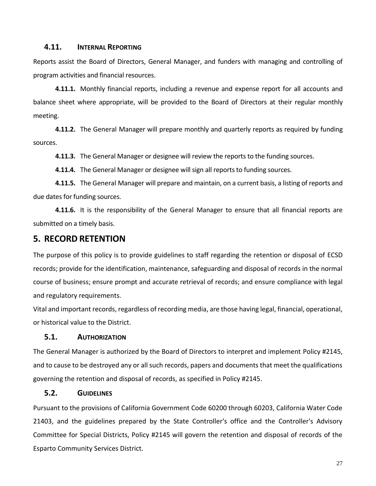#### **4.11. INTERNAL REPORTING**

Reports assist the Board of Directors, General Manager, and funders with managing and controlling of program activities and financial resources.

**4.11.1.** Monthly financial reports, including a revenue and expense report for all accounts and balance sheet where appropriate, will be provided to the Board of Directors at their regular monthly meeting.

**4.11.2.** The General Manager will prepare monthly and quarterly reports as required by funding sources.

**4.11.3.** The General Manager or designee will review the reports to the funding sources.

**4.11.4.** The General Manager or designee will sign all reports to funding sources.

**4.11.5.** The General Manager will prepare and maintain, on a current basis, a listing of reports and due dates for funding sources.

**4.11.6.** It is the responsibility of the General Manager to ensure that all financial reports are submitted on a timely basis.

#### **5. RECORD RETENTION**

The purpose of this policy is to provide guidelines to staff regarding the retention or disposal of ECSD records; provide for the identification, maintenance, safeguarding and disposal of records in the normal course of business; ensure prompt and accurate retrieval of records; and ensure compliance with legal and regulatory requirements.

Vital and important records, regardless of recording media, are those having legal, financial, operational, or historical value to the District.

#### **5.1. AUTHORIZATION**

The General Manager is authorized by the Board of Directors to interpret and implement Policy #2145, and to cause to be destroyed any or all such records, papers and documents that meet the qualifications governing the retention and disposal of records, as specified in Policy #2145.

#### **5.2. GUIDELINES**

Pursuant to the provisions of California Government Code 60200 through 60203, California Water Code 21403, and the guidelines prepared by the State Controller's office and the Controller's Advisory Committee for Special Districts, Policy #2145 will govern the retention and disposal of records of the Esparto Community Services District.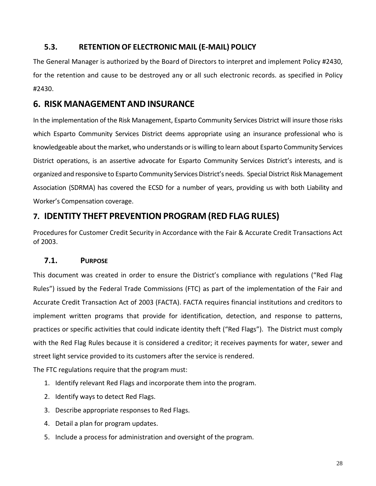## **5.3. RETENTION OF ELECTRONIC MAIL (E-MAIL) POLICY**

The General Manager is authorized by the Board of Directors to interpret and implement Policy #2430, for the retention and cause to be destroyed any or all such electronic records. as specified in Policy #2430.

## **6. RISK MANAGEMENT AND INSURANCE**

In the implementation of the Risk Management, Esparto Community Services District will insure those risks which Esparto Community Services District deems appropriate using an insurance professional who is knowledgeable about the market, who understands or is willing to learn about Esparto Community Services District operations, is an assertive advocate for Esparto Community Services District's interests, and is organized and responsive to Esparto Community Services District's needs. Special District Risk Management Association (SDRMA) has covered the ECSD for a number of years, providing us with both Liability and Worker's Compensation coverage.

## **7. IDENTITY THEFT PREVENTION PROGRAM (RED FLAG RULES)**

Procedures for Customer Credit Security in Accordance with the Fair & Accurate Credit Transactions Act of 2003.

## **7.1. PURPOSE**

This document was created in order to ensure the District's compliance with regulations ("Red Flag Rules") issued by the Federal Trade Commissions (FTC) as part of the implementation of the Fair and Accurate Credit Transaction Act of 2003 (FACTA). FACTA requires financial institutions and creditors to implement written programs that provide for identification, detection, and response to patterns, practices or specific activities that could indicate identity theft ("Red Flags"). The District must comply with the Red Flag Rules because it is considered a creditor; it receives payments for water, sewer and street light service provided to its customers after the service is rendered.

The FTC regulations require that the program must:

- 1. Identify relevant Red Flags and incorporate them into the program.
- 2. Identify ways to detect Red Flags.
- 3. Describe appropriate responses to Red Flags.
- 4. Detail a plan for program updates.
- 5. Include a process for administration and oversight of the program.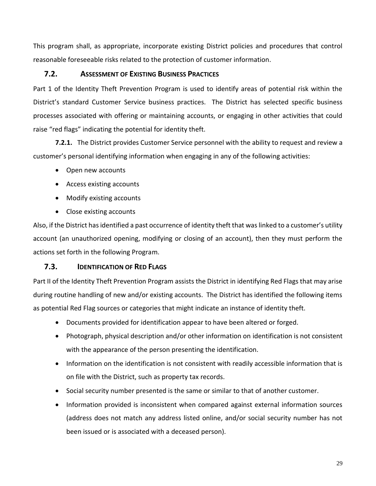This program shall, as appropriate, incorporate existing District policies and procedures that control reasonable foreseeable risks related to the protection of customer information.

#### **7.2. ASSESSMENT OF EXISTING BUSINESS PRACTICES**

Part 1 of the Identity Theft Prevention Program is used to identify areas of potential risk within the District's standard Customer Service business practices. The District has selected specific business processes associated with offering or maintaining accounts, or engaging in other activities that could raise "red flags" indicating the potential for identity theft.

**7.2.1.** The District provides Customer Service personnel with the ability to request and review a customer's personal identifying information when engaging in any of the following activities:

- Open new accounts
- Access existing accounts
- Modify existing accounts
- Close existing accounts

Also, if the District has identified a past occurrence of identity theft that was linked to a customer's utility account (an unauthorized opening, modifying or closing of an account), then they must perform the actions set forth in the following Program.

#### **7.3. IDENTIFICATION OF RED FLAGS**

Part II of the Identity Theft Prevention Program assists the District in identifying Red Flags that may arise during routine handling of new and/or existing accounts. The District has identified the following items as potential Red Flag sources or categories that might indicate an instance of identity theft.

- Documents provided for identification appear to have been altered or forged.
- Photograph, physical description and/or other information on identification is not consistent with the appearance of the person presenting the identification.
- Information on the identification is not consistent with readily accessible information that is on file with the District, such as property tax records.
- Social security number presented is the same or similar to that of another customer.
- Information provided is inconsistent when compared against external information sources (address does not match any address listed online, and/or social security number has not been issued or is associated with a deceased person).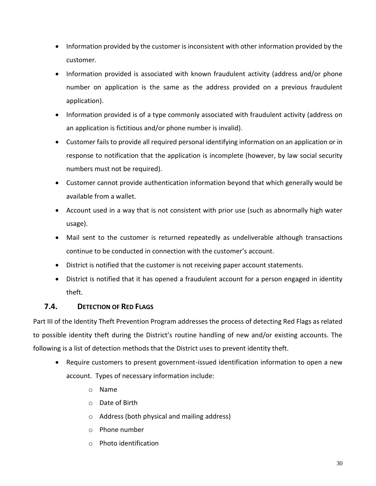- Information provided by the customer is inconsistent with other information provided by the customer.
- Information provided is associated with known fraudulent activity (address and/or phone number on application is the same as the address provided on a previous fraudulent application).
- Information provided is of a type commonly associated with fraudulent activity (address on an application is fictitious and/or phone number is invalid).
- Customer fails to provide all required personal identifying information on an application or in response to notification that the application is incomplete (however, by law social security numbers must not be required).
- Customer cannot provide authentication information beyond that which generally would be available from a wallet.
- Account used in a way that is not consistent with prior use (such as abnormally high water usage).
- Mail sent to the customer is returned repeatedly as undeliverable although transactions continue to be conducted in connection with the customer's account.
- District is notified that the customer is not receiving paper account statements.
- District is notified that it has opened a fraudulent account for a person engaged in identity theft.

## **7.4. DETECTION OF RED FLAGS**

Part III of the Identity Theft Prevention Program addresses the process of detecting Red Flags as related to possible identity theft during the District's routine handling of new and/or existing accounts. The following is a list of detection methods that the District uses to prevent identity theft.

- Require customers to present government-issued identification information to open a new account. Types of necessary information include:
	- o Name
	- o Date of Birth
	- o Address (both physical and mailing address)
	- o Phone number
	- o Photo identification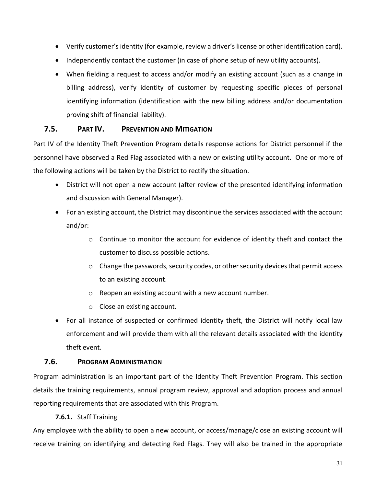- Verify customer's identity (for example, review a driver's license or other identification card).
- Independently contact the customer (in case of phone setup of new utility accounts).
- When fielding a request to access and/or modify an existing account (such as a change in billing address), verify identity of customer by requesting specific pieces of personal identifying information (identification with the new billing address and/or documentation proving shift of financial liability).

### **7.5. PART IV. PREVENTION AND MITIGATION**

Part IV of the Identity Theft Prevention Program details response actions for District personnel if the personnel have observed a Red Flag associated with a new or existing utility account. One or more of the following actions will be taken by the District to rectify the situation.

- District will not open a new account (after review of the presented identifying information and discussion with General Manager).
- For an existing account, the District may discontinue the services associated with the account and/or:
	- o Continue to monitor the account for evidence of identity theft and contact the customer to discuss possible actions.
	- $\circ$  Change the passwords, security codes, or other security devices that permit access to an existing account.
	- o Reopen an existing account with a new account number.
	- o Close an existing account.
- For all instance of suspected or confirmed identity theft, the District will notify local law enforcement and will provide them with all the relevant details associated with the identity theft event.

#### **7.6. PROGRAM ADMINISTRATION**

Program administration is an important part of the Identity Theft Prevention Program. This section details the training requirements, annual program review, approval and adoption process and annual reporting requirements that are associated with this Program.

#### **7.6.1.** Staff Training

Any employee with the ability to open a new account, or access/manage/close an existing account will receive training on identifying and detecting Red Flags. They will also be trained in the appropriate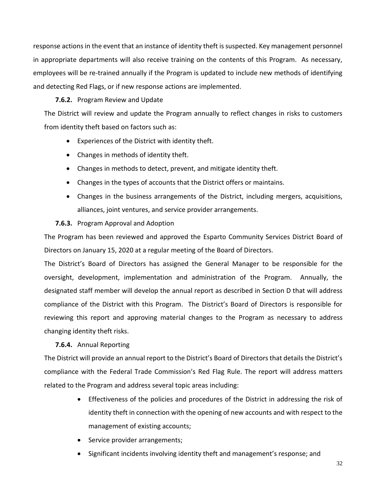response actions in the event that an instance of identity theft is suspected. Key management personnel in appropriate departments will also receive training on the contents of this Program. As necessary, employees will be re-trained annually if the Program is updated to include new methods of identifying and detecting Red Flags, or if new response actions are implemented.

#### **7.6.2.** Program Review and Update

The District will review and update the Program annually to reflect changes in risks to customers from identity theft based on factors such as:

- Experiences of the District with identity theft.
- Changes in methods of identity theft.
- Changes in methods to detect, prevent, and mitigate identity theft.
- Changes in the types of accounts that the District offers or maintains.
- Changes in the business arrangements of the District, including mergers, acquisitions, alliances, joint ventures, and service provider arrangements.

#### **7.6.3.** Program Approval and Adoption

The Program has been reviewed and approved the Esparto Community Services District Board of Directors on January 15, 2020 at a regular meeting of the Board of Directors.

The District's Board of Directors has assigned the General Manager to be responsible for the oversight, development, implementation and administration of the Program. Annually, the designated staff member will develop the annual report as described in Section D that will address compliance of the District with this Program. The District's Board of Directors is responsible for reviewing this report and approving material changes to the Program as necessary to address changing identity theft risks.

#### **7.6.4.** Annual Reporting

The District will provide an annual report to the District's Board of Directors that details the District's compliance with the Federal Trade Commission's Red Flag Rule. The report will address matters related to the Program and address several topic areas including:

- Effectiveness of the policies and procedures of the District in addressing the risk of identity theft in connection with the opening of new accounts and with respect to the management of existing accounts;
- Service provider arrangements;
- Significant incidents involving identity theft and management's response; and